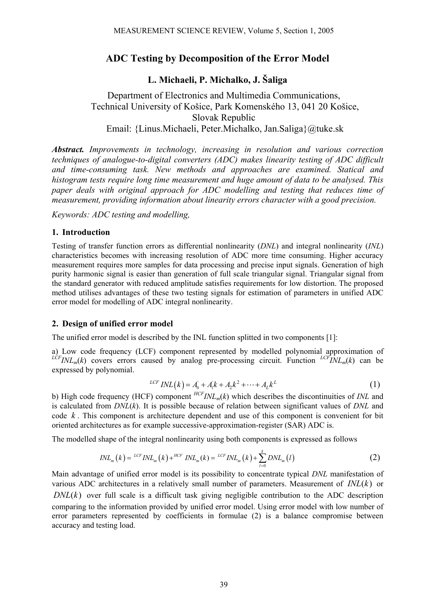# **ADC Testing by Decomposition of the Error Model**

## **L. Michaeli, P. Michalko, J. Šaliga**

Department of Electronics and Multimedia Communications, Technical University of Košice, Park Komenského 13, 041 20 Košice, Slovak Republic Email: {Linus.Michaeli, Peter.Michalko, Jan.Saliga}@tuke.sk

*Abstract. Improvements in technology, increasing in resolution and various correction techniques of analogue-to-digital converters (ADC) makes linearity testing of ADC difficult and time-consuming task. New methods and approaches are examined. Statical and histogram tests require long time measurement and huge amount of data to be analysed. This paper deals with original approach for ADC modelling and testing that reduces time of measurement, providing information about linearity errors character with a good precision.* 

*Keywords: ADC testing and modelling,* 

### **1. Introduction**

Testing of transfer function errors as differential nonlinearity (*DNL*) and integral nonlinearity (*INL*) characteristics becomes with increasing resolution of ADC more time consuming. Higher accuracy measurement requires more samples for data processing and precise input signals. Generation of high purity harmonic signal is easier than generation of full scale triangular signal. Triangular signal from the standard generator with reduced amplitude satisfies requirements for low distortion. The proposed method utilises advantages of these two testing signals for estimation of parameters in unified ADC error model for modelling of ADC integral nonlinearity.

### **2. Design of unified error model**

The unified error model is described by the INL function splitted in two components [1]:

a) Low code frequency (LCF) component represented by modelled polynomial approximation of  $LCFINL_m(k)$  covers errors caused by analog pre-processing circuit. Function  $LCFINL_m(k)$  can be expressed by polynomial.

$$
LCF \, INL(k) = A_0 + A_1 k + A_2 k^2 + \dots + A_L k^L \tag{1}
$$

b) High code frequency (HCF) component *HCFINLm*(*k*) which describes the discontinuities of *INL* and is calculated from *DNL*(*k*). It is possible because of relation between significant values of *DNL* and code *k* . This component is architecture dependent and use of this component is convenient for bit oriented architectures as for example successive-approximation-register (SAR) ADC is.

The modelled shape of the integral nonlinearity using both components is expressed as follows

$$
INL_m(k) = {}^{LCF}INL_m(k) + {}^{HCF}INL_m(k) = {}^{LCF}INL_m(k) + \sum_{l=0}^{k} DNL_m(l)
$$
\n
$$
(2)
$$

Main advantage of unified error model is its possibility to concentrate typical *DNL* manifestation of various ADC architectures in a relatively small number of parameters. Measurement of  $INL(k)$  or  $DNL(k)$  over full scale is a difficult task giving negligible contribution to the ADC description comparing to the information provided by unified error model. Using error model with low number of error parameters represented by coefficients in formulae (2) is a balance compromise between accuracy and testing load.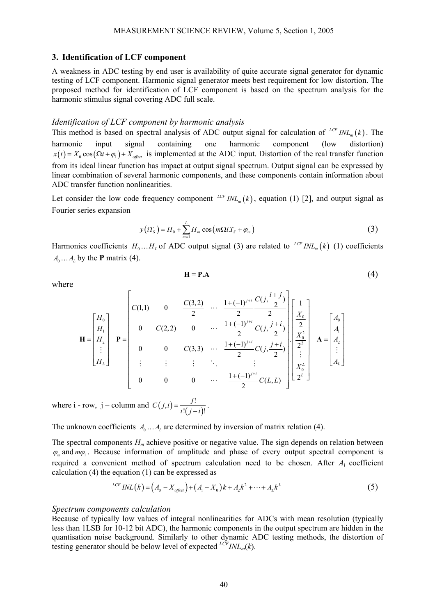### **3. Identification of LCF component**

A weakness in ADC testing by end user is availability of quite accurate signal generator for dynamic testing of LCF component. Harmonic signal generator meets best requirement for low distortion. The proposed method for identification of LCF component is based on the spectrum analysis for the harmonic stimulus signal covering ADC full scale.

#### *Identification of LCF component by harmonic analysis*

This method is based on spectral analysis of ADC output signal for calculation of  $^{LCF} INL_m(k)$ . The harmonic input signal containing one harmonic component (low distortion)  $x(t) = X_0 \cos(\Omega t + \varphi_1) + X_{offset}$  is implemented at the ADC input. Distortion of the real transfer function from its ideal linear function has impact at output signal spectrum. Output signal can be expressed by linear combination of several harmonic components, and these components contain information about ADC transfer function nonlinearities.

Let consider the low code frequency component  $^{LCF}INL_m(k)$ , equation (1) [2], and output signal as Fourier series expansion

$$
y(iTS) = H0 + \sum_{m=1}^{L} Hm cos(m\Omega i.TS + \varphim)
$$
 (3)

Harmonics coefficients  $H_0...H_L$  of ADC output signal (3) are related to  $LCFINL_m(k)$  (1) coefficients  $A_0 \dots A_L$  by the **P** matrix (4).

where

$$
H = P.A
$$
 (4)

$$
\mathbf{H} = \begin{bmatrix} H_0 \\ H_1 \\ H_2 \\ \vdots \\ H_L \end{bmatrix} \quad \mathbf{P} = \begin{bmatrix} C(1,1) & 0 & \frac{C(3,2)}{2} & \cdots & \frac{1+(-1)^{j+i}}{2} \frac{C(j,\frac{i+j}{2})}{2} \\ 0 & C(2,2) & 0 & \cdots & \frac{1+(-1)^{j+i}}{2} \frac{C(j,\frac{j+i}{2})}{2} \\ 0 & 0 & C(3,3) & \cdots & \frac{1+(-1)^{j+i}}{2} \frac{C(j,\frac{j+i}{2})}{2} \\ \vdots & \vdots & \ddots & \vdots & \vdots \\ 0 & 0 & 0 & \cdots & \frac{1+(-1)^{j+i}}{2} \frac{C(j,\frac{j}{2})}{2} \\ 0 & 0 & \cdots & \frac{1+(-1)^{j+i}}{2} \frac{C(j,\frac{j}{2})}{2} \end{bmatrix} \begin{bmatrix} 1 \\ X_0 \\ X_1^2 \\ \vdots \\ X_0^L \\ \hline 2^L \end{bmatrix} \quad \mathbf{A} = \begin{bmatrix} A_0 \\ A_1 \\ A_2 \\ \vdots \\ A_L \end{bmatrix}
$$

where  $i$  - row,  $j$  – column and  $C(j,i) = \frac{j!}{i!(j-i)!}$ .

The unknown coefficients  $A_0 \ldots A_l$  are determined by inversion of matrix relation (4).

The spectral components *H<sub>m</sub>* achieve positive or negative value. The sign depends on relation between  $\varphi$  and  $m\varphi$ . Because information of amplitude and phase of every output spectral component is required a convenient method of spectrum calculation need to be chosen. After *A*i coefficient calculation (4) the equation (1) can be expressed as

$$
L^{LCF} INL(k) = (A_0 - X_{offset}) + (A_1 - X_0)k + A_2k^2 + \dots + A_Lk^L
$$
\n(5)

#### *Spectrum components calculation*

Because of typically low values of integral nonlinearities for ADCs with mean resolution (typically less than 1LSB for 10-12 bit ADC), the harmonic components in the output spectrum are hidden in the quantisation noise background. Similarly to other dynamic ADC testing methods, the distortion of testing generator should be below level of expected  $LCF_{INL_m}(k)$ .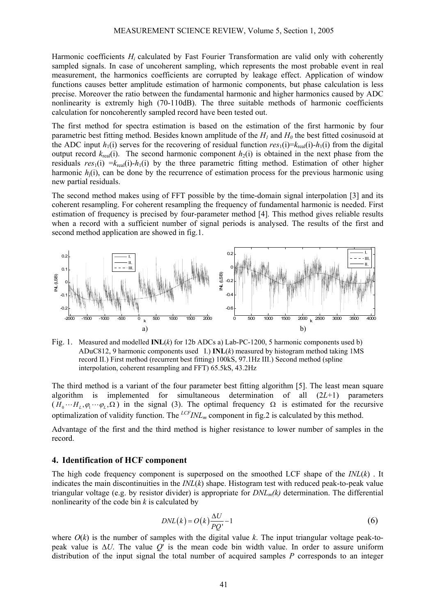Harmonic coefficients *H<sub>i</sub>* calculated by Fast Fourier Transformation are valid only with coherently sampled signals. In case of uncoherent sampling, which represents the most probable event in real measurement, the harmonics coefficients are corrupted by leakage effect. Application of window functions causes better amplitude estimation of harmonic components, but phase calculation is less precise. Moreover the ratio between the fundamental harmonic and higher harmonics caused by ADC nonlinearity is extremly high (70-110dB). The three suitable methods of harmonic coefficients calculation for noncoherently sampled record have been tested out.

The first method for spectra estimation is based on the estimation of the first harmonic by four parametric best fitting method. Besides known amplitude of the  $H_1$  and  $H_0$  the best fitted cosinusoid at the ADC input  $h_1(i)$  serves for the recovering of residual function  $res_1(i)=k_{real}(i)-h_1(i)$  from the digital output record  $k_{\text{real}}(i)$ . The second harmonic component  $h_2(i)$  is obtained in the next phase from the residuals  $res_1(i) = k_{real}(i) - h_1(i)$  by the three parametric fitting method. Estimation of other higher harmonic  $h_i(i)$ , can be done by the recurrence of estimation process for the previous harmonic using new partial residuals.

The second method makes using of FFT possible by the time-domain signal interpolation [3] and its coherent resampling. For coherent resampling the frequency of fundamental harmonic is needed. First estimation of frequency is precised by four-parameter method [4]. This method gives reliable results when a record with a sufficient number of signal periods is analysed. The results of the first and second method application are showed in fig.1.



Fig. 1. Measured and modelled **INL**(*k*) for 12b ADCs a) Lab-PC-1200, 5 harmonic components used b) ADuC812, 9 harmonic components used I.) **INL**(*k*) measured by histogram method taking 1MS record II.) First method (recurrent best fitting) 100kS, 97.1Hz III.) Second method (spline interpolation, coherent resampling and FFT) 65.5kS, 43.2Hz

The third method is a variant of the four parameter best fitting algorithm [5]. The least mean square algorithm is implemented for simultaneous determination of all (2*L*+1) parameters  $(H_0 \cdots H_L, \varphi_1 \cdots \varphi_L, \Omega)$  in the signal (3). The optimal frequency  $\Omega$  is estimated for the recursive optimalization of validity function. The  $<sup>LCF</sup> INL<sub>m</sub>$  component in fig.2 is calculated by this method.</sup>

Advantage of the first and the third method is higher resistance to lower number of samples in the record.

### **4. Identification of HCF component**

The high code frequency component is superposed on the smoothed LCF shape of the *INL*(*k*) . It indicates the main discontinuities in the *INL*(*k*) shape. Histogram test with reduced peak-to-peak value triangular voltage (e.g. by resistor divider) is appropriate for *DNLm(k)* determination. The differential nonlinearity of the code bin *k* is calculated by

$$
DNL(k) = O(k)\frac{\Delta U}{PQ'} - 1\tag{6}
$$

where  $O(k)$  is the number of samples with the digital value k. The input triangular voltage peak-topeak value is ∆*U*. The value *Q*' is the mean code bin width value. In order to assure uniform distribution of the input signal the total number of acquired samples *P* corresponds to an integer